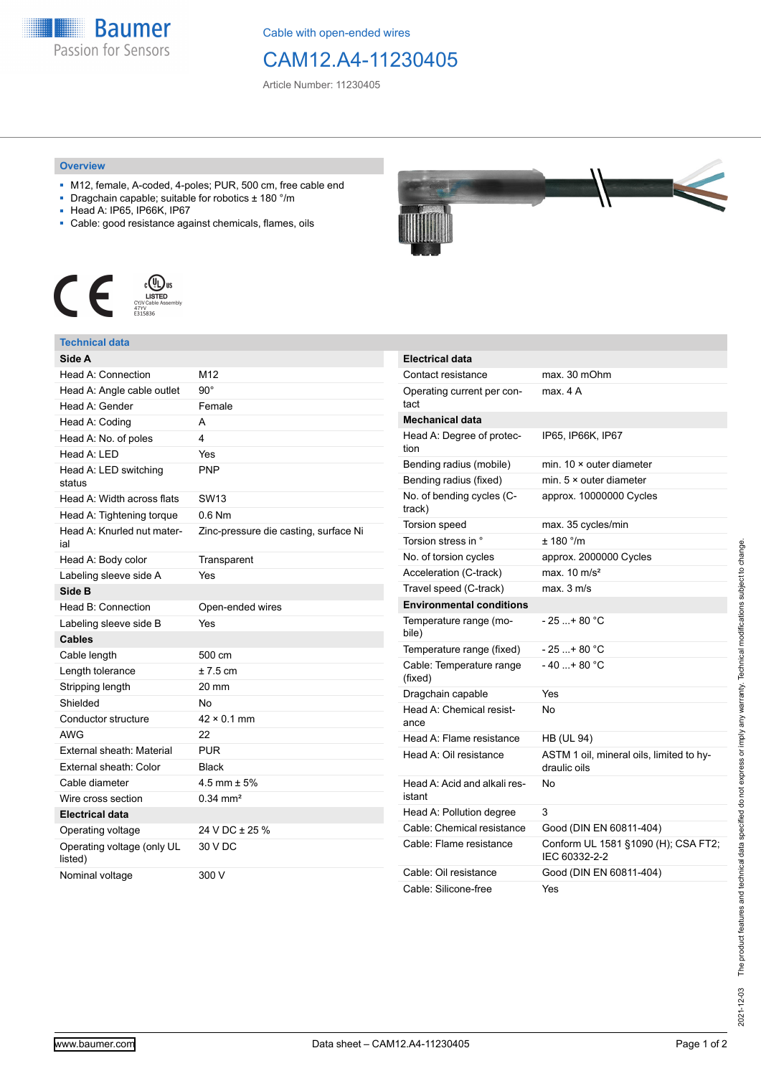

Cable with open-ended wires

## CAM12.A4-11230405

Article Number: 11230405

## **Overview**

- M12, female, A-coded, 4-poles; PUR, 500 cm, free cable end
- Dragchain capable; suitable for robotics ± 180 °/m
- Head A: IP65, IP66K, IP67
- Cable: good resistance against chemicals, flames, oils



## **Technical data**

| Side A                                |                                       |  |  |
|---------------------------------------|---------------------------------------|--|--|
| Head A: Connection                    | M12                                   |  |  |
| Head A: Angle cable outlet            | $90^\circ$                            |  |  |
| Head A: Gender                        | Female                                |  |  |
| Head A: Coding                        | A                                     |  |  |
| Head A: No. of poles                  | 4                                     |  |  |
| Head A: LED                           | Yes                                   |  |  |
| Head A: LED switching<br>status       | <b>PNP</b>                            |  |  |
| Head A: Width across flats            | SW <sub>13</sub>                      |  |  |
| Head A: Tightening torque             | $0.6$ Nm                              |  |  |
| Head A: Knurled nut mater-<br>ial     | Zinc-pressure die casting, surface Ni |  |  |
| Head A: Body color                    | Transparent                           |  |  |
| Labeling sleeve side A                | Yes                                   |  |  |
| Side B                                |                                       |  |  |
| Head B: Connection                    | Open-ended wires                      |  |  |
| Labeling sleeve side B                | Yes                                   |  |  |
| <b>Cables</b>                         |                                       |  |  |
| Cable length                          | 500 cm                                |  |  |
| Length tolerance                      | $±7.5$ cm                             |  |  |
| Stripping length                      | 20 mm                                 |  |  |
| Shielded                              | No                                    |  |  |
| Conductor structure                   | $42 \times 0.1$ mm                    |  |  |
| <b>AWG</b>                            | 22                                    |  |  |
| External sheath: Material             | <b>PUR</b>                            |  |  |
| External sheath: Color                | <b>Black</b>                          |  |  |
| Cable diameter                        | 4.5 mm $\pm$ 5%                       |  |  |
| Wire cross section                    | $0.34$ mm <sup>2</sup>                |  |  |
| <b>Electrical data</b>                |                                       |  |  |
| Operating voltage                     | 24 V DC ± 25 %                        |  |  |
| Operating voltage (only UL<br>listed) | 30 V DC                               |  |  |
| Nominal voltage                       | 300 V                                 |  |  |



| <b>Electrical data</b>                 |                                                          |  |  |
|----------------------------------------|----------------------------------------------------------|--|--|
| Contact resistance                     | max. 30 mOhm                                             |  |  |
| Operating current per con-<br>tact     | max. 4 A                                                 |  |  |
| <b>Mechanical data</b>                 |                                                          |  |  |
| Head A: Degree of protec-<br>tion      | IP65, IP66K, IP67                                        |  |  |
| Bending radius (mobile)                | min. $10 \times$ outer diameter                          |  |  |
| Bending radius (fixed)                 | min. $5 \times$ outer diameter                           |  |  |
| No. of bending cycles (C-<br>track)    | approx. 10000000 Cycles                                  |  |  |
| <b>Torsion speed</b>                   | max. 35 cycles/min                                       |  |  |
| Torsion stress in °                    | ± 180 °/m                                                |  |  |
| No. of torsion cycles                  | approx. 2000000 Cycles                                   |  |  |
| Acceleration (C-track)                 | max. $10 \text{ m/s}^2$                                  |  |  |
| Travel speed (C-track)                 | max. 3 m/s                                               |  |  |
| <b>Environmental conditions</b>        |                                                          |  |  |
| Temperature range (mo-<br>bile)        | - 25 + 80 °C                                             |  |  |
| Temperature range (fixed)              | - 25 +80 °C                                              |  |  |
| Cable: Temperature range<br>(fixed)    | - 40 + 80 °C                                             |  |  |
| Dragchain capable                      | Yes                                                      |  |  |
| Head A: Chemical resist-<br>ance       | No                                                       |  |  |
| Head A: Flame resistance               | HB (UL 94)                                               |  |  |
| Head A: Oil resistance                 | ASTM 1 oil, mineral oils, limited to hy-<br>draulic oils |  |  |
| Head A: Acid and alkali res-<br>istant | No                                                       |  |  |
| Head A: Pollution degree               | 3                                                        |  |  |
| Cable: Chemical resistance             | Good (DIN EN 60811-404)                                  |  |  |
| Cable: Flame resistance                | Conform UL 1581 §1090 (H); CSA FT2;<br>IEC 60332-2-2     |  |  |
| Cable: Oil resistance                  | Good (DIN EN 60811-404)                                  |  |  |
| Cable: Silicone-free                   | Yes                                                      |  |  |